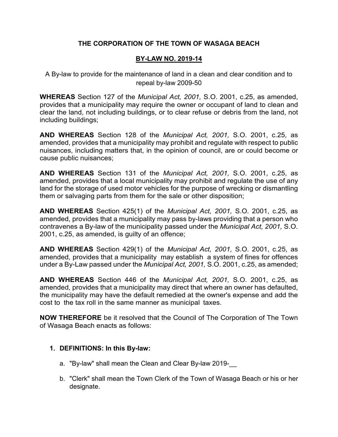# **THE CORPORATION OF THE TOWN OF WASAGA BEACH**

## **BY-LAW NO. 2019-14**

A By-law to provide for the maintenance of land in a clean and clear condition and to repeal by-law 2009-50

**WHEREAS** Section 127 of the *Municipal Act, 2001,* S.O. 2001, c.25, as amended, provides that a municipality may require the owner or occupant of land to clean and clear the land, not including buildings, or to clear refuse or debris from the land, not including buildings;

**AND WHEREAS** Section 128 of the *Municipal Act, 2001,* S.O. 2001, c.25, as amended, provides that a municipality may prohibit and regulate with respect to public nuisances, including matters that, in the opinion of council, are or could become or cause public nuisances;

**AND WHEREAS** Section 131 of the *Municipal Act, 2001,* S.O. 2001, c.25, as amended, provides that a local municipality may prohibit and regulate the use of any land for the storage of used motor vehicles for the purpose of wrecking or dismantling them or salvaging parts from them for the sale or other disposition;

**AND WHEREAS** Section 425(1) of the *Municipal Act, 2001,* S.O. 2001, c.25, as amended, provides that a municipality may pass by-laws providing that a person who contravenes a By-law of the municipality passed under the *Municipal Act, 2001,* S.O. 2001, c.25, as amended, is guilty of an offence;

**AND WHEREAS** Section 429(1) of the *Municipal Act, 2001,* S.O. 2001, c.25, as amended, provides that a municipality may establish a system of fines for offences under a By-Law passed under the *Municipal Act, 2001,* S.O. 2001, c.25, as amended;

**AND WHEREAS** Section 446 of the *Municipal Act, 2001,* S.O. 2001, c.25, as amended, provides that a municipality may direct that where an owner has defaulted, the municipality may have the default remedied at the owner's expense and add the cost to the tax roll in the same manner as municipal taxes.

**NOW THEREFORE** be it resolved that the Council of The Corporation of The Town of Wasaga Beach enacts as follows:

## **1. DEFINITIONS: In this By-law:**

- a. "By-law" shall mean the Clean and Clear By-law 2019-
- b. "Clerk" shall mean the Town Clerk of the Town of Wasaga Beach or his or her designate.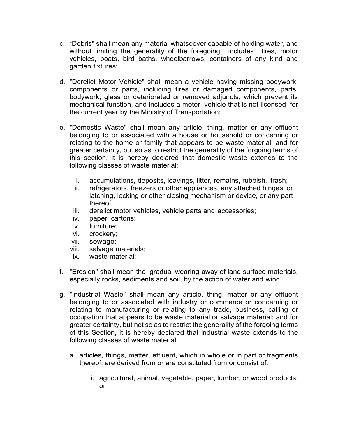- c. "Debris" shall mean any material whatsoever capable of holding water, and without limiting the generality of the foregoing, includes tires, motor vehicles, boats, bird baths, wheelbarrows, containers of any kind and garden fixtures;
- d. "Derelict Motor Vehicle" shall mean a vehicle having missing bodywork, components or parts, including tires or damaged components, parts, bodywork, glass or deteriorated or removed adjuncts, which prevent its mechanical function, and includes a motor vehicle that is not licensed for the current year by the Ministry of Transportation;
- e. "Domestic Waste" shall mean any article, thing, matter or any effluent belonging to or associated with a house or household or concerning or relating to the home or family that appears to be waste material; and for greater certainty, but so as to restrict the generality of the forgoing terms of this section, it is hereby declared that domestic waste extends to the following classes of waste material:
	- i. accumulations, deposits, leavings, litter, remains, rubbish, trash;
	- ii. refrigerators, freezers or other appliances, any attached hinges or latching, locking or other closing mechanism or device, or any part thereof;
	- iii. derelict motor vehicles, vehicle parts and accessories;
	- iv. paper, cartons:
	- v. furniture;
	- vi. crockery;
	- vii. sewage;
	- viii. salvage materials;
	- ix. waste material;
- f. "Erosion" shall mean the gradual wearing away of land surface materials, especially rocks, sediments and soil, by the action of water and wind.
- g. "Industrial Waste" shall mean any article, thing, matter or any effluent belonging to or associated with industry or commerce or concerning or relating to manufacturing or relating to any trade, business, calling or occupation that appears to be waste material or salvage material; and for greater certainty, but not so as to restrict the generality of the forgoing terms of this Section, it is hereby declared that industrial waste extends to the following classes of waste material:
	- a. articles, things, matter, effluent, which in whole or in part or fragments thereof, are derived from or are constituted from or consist of:
		- i. agricultural, animal, vegetable, paper, lumber, or wood products; or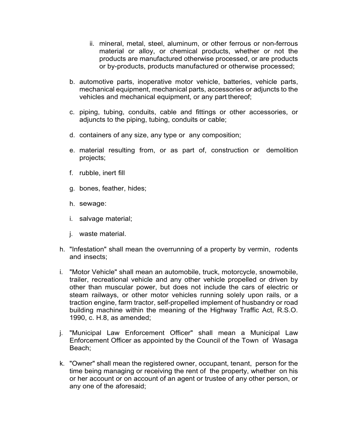- ii. mineral, metal, steel, aluminum, or other ferrous or non-ferrous material or alloy, or chemical products, whether or not the products are manufactured otherwise processed, or are products or by-products, products manufactured or otherwise processed;
- b. automotive parts, inoperative motor vehicle, batteries, vehicle parts, mechanical equipment, mechanical parts, accessories or adjuncts to the vehicles and mechanical equipment, or any part thereof;
- c. piping, tubing, conduits, cable and fittings or other accessories, or adjuncts to the piping, tubing, conduits or cable;
- d. containers of any size, any type or any composition;
- e. material resulting from, or as part of, construction or demolition projects;
- f. rubble, inert fill
- g. bones, feather, hides;
- h. sewage:
- i. salvage material;
- j. waste material.
- h. "Infestation" shall mean the overrunning of a property by vermin, rodents and insects;
- i. "Motor Vehicle" shall mean an automobile, truck, motorcycle, snowmobile, trailer, recreational vehicle and any other vehicle propelled or driven by other than muscular power, but does not include the cars of electric or steam railways, or other motor vehicles running solely upon rails, or a traction engine, farm tractor, self-propelled implement of husbandry or road building machine within the meaning of the Highway Traffic Act, R.S.O. 1990, c. H.8, as amended;
- j. "Municipal Law Enforcement Officer" shall mean a Municipal Law Enforcement Officer as appointed by the Council of the Town of Wasaga Beach;
- k. "Owner" shall mean the registered owner, occupant, tenant, person for the time being managing or receiving the rent of the property, whether on his or her account or on account of an agent or trustee of any other person, or any one of the aforesaid;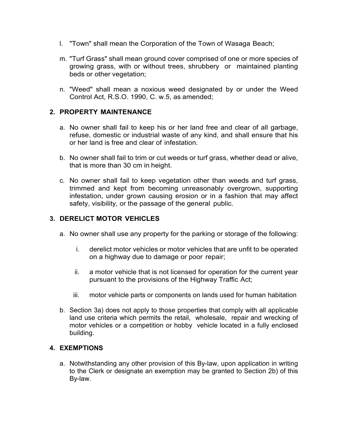- l. "Town" shall mean the Corporation of the Town of Wasaga Beach;
- m. "Turf Grass" shall mean ground cover comprised of one or more species of growing grass, with or without trees, shrubbery or maintained planting beds or other vegetation;
- n. "Weed" shall mean a noxious weed designated by or under the Weed Control Act, R.S.O. 1990, C. w.5, as amended;

## **2. PROPERTY MAINTENANCE**

- a. No owner shall fail to keep his or her land free and clear of all garbage, refuse, domestic or industrial waste of any kind, and shall ensure that his or her land is free and clear of infestation.
- b. No owner shall fail to trim or cut weeds or turf grass, whether dead or alive, that is more than 30 cm in height.
- c. No owner shall fail to keep vegetation other than weeds and turf grass, trimmed and kept from becoming unreasonably overgrown, supporting infestation, under grown causing erosion or in a fashion that may affect safety, visibility, or the passage of the general public.

## **3. DERELICT MOTOR VEHICLES**

- a. No owner shall use any property for the parking or storage of the following:
	- i. derelict motor vehicles or motor vehicles that are unfit to be operated on a highway due to damage or poor repair;
	- ii. a motor vehicle that is not licensed for operation for the current year pursuant to the provisions of the Highway Traffic Act;
	- iii. motor vehicle parts or components on lands used for human habitation
- b. Section 3a) does not apply to those properties that comply with all applicable land use criteria which permits the retail, wholesale, repair and wrecking of motor vehicles or a competition or hobby vehicle located in a fully enclosed building.

## **4. EXEMPTIONS**

a. Notwithstanding any other provision of this By-law, upon application in writing to the Clerk or designate an exemption may be granted to Section 2b) of this By-law.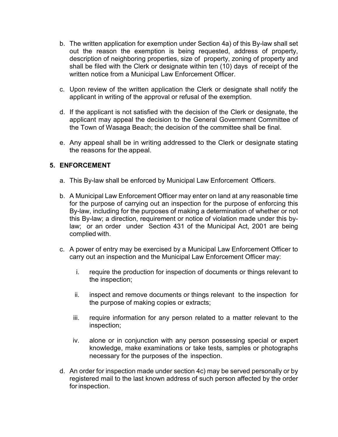- b. The written application for exemption under Section 4a) of this By-law shall set out the reason the exemption is being requested, address of property, description of neighboring properties, size of property, zoning of property and shall be filed with the Clerk or designate within ten (10) days of receipt of the written notice from a Municipal Law Enforcement Officer.
- c. Upon review of the written application the Clerk or designate shall notify the applicant in writing of the approval or refusal of the exemption.
- d. If the applicant is not satisfied with the decision of the Clerk or designate, the applicant may appeal the decision to the General Government Committee of the Town of Wasaga Beach; the decision of the committee shall be final.
- e. Any appeal shall be in writing addressed to the Clerk or designate stating the reasons for the appeal.

### **5. ENFORCEMENT**

- a. This By-law shall be enforced by Municipal Law Enforcement Officers.
- b. A Municipal Law Enforcement Officer may enter on land at any reasonable time for the purpose of carrying out an inspection for the purpose of enforcing this By-law, including for the purposes of making a determination of whether or not this By-law; a direction, requirement or notice of violation made under this bylaw; or an order under Section 431 of the Municipal Act, 2001 are being complied with.
- c. A power of entry may be exercised by a Municipal Law Enforcement Officer to carry out an inspection and the Municipal Law Enforcement Officer may:
	- i. require the production for inspection of documents or things relevant to the inspection;
	- ii. inspect and remove documents or things relevant to the inspection for the purpose of making copies or extracts;
	- iii. require information for any person related to a matter relevant to the inspection;
	- iv. alone or in conjunction with any person possessing special or expert knowledge, make examinations or take tests, samples or photographs necessary for the purposes of the inspection.
- d. An order for inspection made under section 4c) may be served personally or by registered mail to the last known address of such person affected by the order for inspection.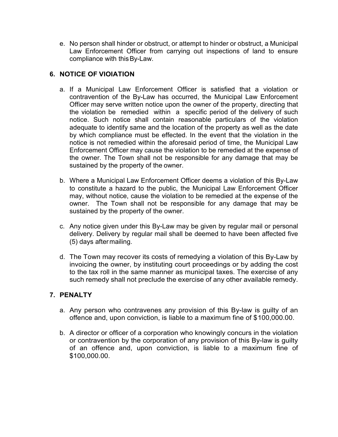e. No person shall hinder or obstruct, or attempt to hinder or obstruct, a Municipal Law Enforcement Officer from carrying out inspections of land to ensure compliance with thisBy-Law.

# **6. NOTICE OF VIOIATION**

- a. If a Municipal Law Enforcement Officer is satisfied that a violation or contravention of the By-Law has occurred, the Municipal Law Enforcement Officer may serve written notice upon the owner of the property, directing that the violation be remedied within a specific period of the delivery of such notice. Such notice shall contain reasonable particulars of the violation adequate to identify same and the location of the property as well as the date by which compliance must be effected. In the event that the violation in the notice is not remedied within the aforesaid period of time, the Municipal Law Enforcement Officer may cause the violation to be remedied at the expense of the owner. The Town shall not be responsible for any damage that may be sustained by the property of the owner.
- b. Where a Municipal Law Enforcement Officer deems a violation of this By-Law to constitute a hazard to the public, the Municipal Law Enforcement Officer may, without notice, cause the violation to be remedied at the expense of the owner. The Town shall not be responsible for any damage that may be sustained by the property of the owner.
- c. Any notice given under this By-Law may be given by regular mail or personal delivery. Delivery by regular mail shall be deemed to have been affected five (5) days aftermailing.
- d. The Town may recover its costs of remedying a violation of this By-Law by invoicing the owner, by instituting court proceedings or by adding the cost to the tax roll in the same manner as municipal taxes. The exercise of any such remedy shall not preclude the exercise of any other available remedy.

## **7. PENALTY**

- a. Any person who contravenes any provision of this By-law is guilty of an offence and, upon conviction, is liable to a maximum fine of \$100,000.00.
- b. A director or officer of a corporation who knowingly concurs in the violation or contravention by the corporation of any provision of this By-law is guilty of an offence and, upon conviction, is liable to a maximum fine of \$100,000.00.